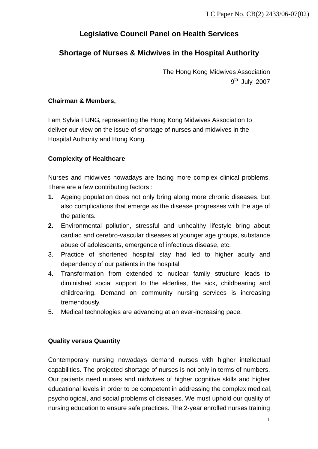# **Legislative Council Panel on Health Services**

# **Shortage of Nurses & Midwives in the Hospital Authority**

The Hong Kong Midwives Association  $9<sup>th</sup>$  July 2007

### **Chairman & Members,**

I am Sylvia FUNG, representing the Hong Kong Midwives Association to deliver our view on the issue of shortage of nurses and midwives in the Hospital Authority and Hong Kong.

## **Complexity of Healthcare**

Nurses and midwives nowadays are facing more complex clinical problems. There are a few contributing factors :

- **1.** Ageing population does not only bring along more chronic diseases, but also complications that emerge as the disease progresses with the age of the patients.
- **2.** Environmental pollution, stressful and unhealthy lifestyle bring about cardiac and cerebro-vascular diseases at younger age groups, substance abuse of adolescents, emergence of infectious disease, etc.
- 3. Practice of shortened hospital stay had led to higher acuity and dependency of our patients in the hospital
- 4. Transformation from extended to nuclear family structure leads to diminished social support to the elderlies, the sick, childbearing and childrearing. Demand on community nursing services is increasing tremendously.
- 5. Medical technologies are advancing at an ever-increasing pace.

## **Quality versus Quantity**

Contemporary nursing nowadays demand nurses with higher intellectual capabilities. The projected shortage of nurses is not only in terms of numbers. Our patients need nurses and midwives of higher cognitive skills and higher educational levels in order to be competent in addressing the complex medical, psychological, and social problems of diseases. We must uphold our quality of nursing education to ensure safe practices. The 2-year enrolled nurses training